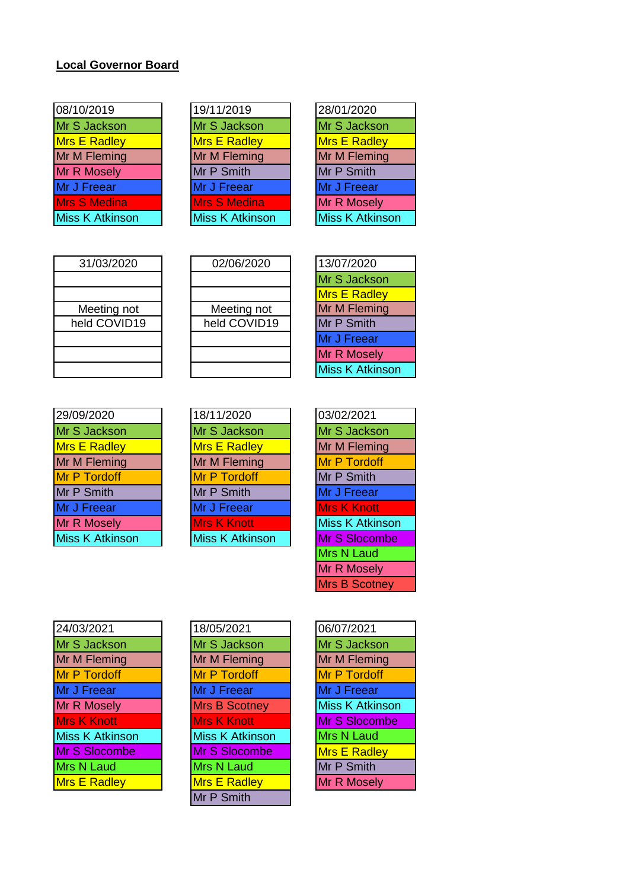## **Local Governor Board**

| 08/10/2019             | 19/11/2019             | 28/01/2020             |
|------------------------|------------------------|------------------------|
| Mr S Jackson           | Mr S Jackson           | Mr S Jackson           |
| <b>Mrs E Radley</b>    | Mrs E Radley           | <b>Mrs E Radley</b>    |
| Mr M Fleming           | Mr M Fleming           | Mr M Fleming           |
| <b>Mr R Mosely</b>     | Mr P Smith             | Mr P Smith             |
| Mr J Freear            | Mr J Freear            | Mr J Freear            |
| <b>Mrs S Medina</b>    | <b>Mrs S Medina</b>    | Mr R Mosely            |
| <b>Miss K Atkinson</b> | <b>Miss K Atkinson</b> | <b>Miss K Atkinson</b> |

| 19/11/2019             |
|------------------------|
| Mr S Jackson           |
| Mrs E Radley           |
| Mr M Fleming           |
| Mr P Smith             |
| Mr J Freear            |
| Mrs S Medina           |
| <b>Miss K Atkinson</b> |
|                        |

| 31/03/2020   |
|--------------|
|              |
|              |
| Meeting not  |
| held COVID19 |
|              |
|              |
|              |

| 31/03/2020   | 02/06/2020   | 13/07/2020           |
|--------------|--------------|----------------------|
|              |              | Mr S Jackson         |
|              |              | <b>Mrs E Radley</b>  |
| Meeting not  | Meeting not  | Mr M Fleming         |
| held COVID19 | held COVID19 | Mr P Smith           |
|              |              | Mr J Freear          |
|              |              | Mr R Mosely          |
|              |              | <b>Miss K Atkins</b> |

| 13/07/2020             |
|------------------------|
| Mr S Jackson           |
| <b>Mrs E Radley</b>    |
| Mr M Fleming           |
| Mr P Smith             |
| Mr J Freear            |
| Mr R Mosely            |
| <b>Miss K Atkinson</b> |

| 29/09/2020             | 18/11/2020             | 03/02/2021             |
|------------------------|------------------------|------------------------|
| Mr S Jackson           | Mr S Jackson           | Mr S Jackson           |
| <b>Mrs E Radley</b>    | <b>Mrs E Radley</b>    | Mr M Fleming           |
| Mr M Fleming           | Mr M Fleming           | Mr P Tordoff           |
| Mr P Tordoff           | Mr P Tordoff           | Mr P Smith             |
| Mr P Smith             | Mr P Smith             | Mr J Freear            |
| Mr J Freear            | Mr J Freear            | <b>Mrs K Knott</b>     |
| <b>Mr R Mosely</b>     | <b>Mrs K Knott</b>     | <b>Miss K Atkinson</b> |
| <b>Miss K Atkinson</b> | <b>Miss K Atkinson</b> | Mr S Slocombe          |
|                        |                        |                        |

| 18/11/2020             |
|------------------------|
| Mr S Jackson           |
| <b>Mrs E Radley</b>    |
| Mr M Fleming           |
| Mr P Tordoff           |
| Mr P Smith             |
| Mr J Freear            |
| <b>Mrs K Knott</b>     |
| <b>Miss K Atkinson</b> |
|                        |

| 03/02/2021             |
|------------------------|
| Mr S Jackson           |
| Mr M Fleming           |
| Mr P Tordoff           |
| Mr P Smith             |
| Mr J Freear            |
| <b>Mrs K Knott</b>     |
| <b>Miss K Atkinson</b> |
| Mr S Slocombe          |
| <b>Mrs N Laud</b>      |
| Mr R Mosely            |
| <b>Mrs B Scotney</b>   |

| 24/03/2021             | 18/05/2021             | 06/07/2021             |
|------------------------|------------------------|------------------------|
| Mr S Jackson           | Mr S Jackson           | Mr S Jackson           |
| Mr M Fleming           | Mr M Fleming           | Mr M Fleming           |
| Mr P Tordoff           | <b>Mr P Tordoff</b>    | Mr P Tordoff           |
| Mr J Freear            | Mr J Freear            | Mr J Freear            |
| Mr R Mosely            | <b>Mrs B Scotney</b>   | <b>Miss K Atkinson</b> |
| <b>Mrs K Knott</b>     | <b>Mrs K Knott</b>     | Mr S Slocombe          |
| <b>Miss K Atkinson</b> | <b>Miss K Atkinson</b> | Mrs N Laud             |
| Mr S Slocombe          | Mr S Slocombe          | <b>Mrs E Radley</b>    |
| Mrs N Laud             | Mrs N Laud             | Mr P Smith             |
| <b>Mrs E Radley</b>    | <b>Mrs E Radley</b>    | Mr R Mosely            |

| 18/05/2021             |
|------------------------|
| Mr S Jackson           |
| Mr M Fleming           |
| <b>Mr P Tordoff</b>    |
| Mr J Freear            |
| <b>Mrs B Scotney</b>   |
| <b>Mrs K Knott</b>     |
| <b>Miss K Atkinson</b> |
| Mr S Slocombe          |
| Mrs N Laud             |
| <b>Mrs E Radley</b>    |
| Mr P Smith             |
|                        |

| 06/07/2021             |
|------------------------|
| Mr S Jackson           |
| Mr M Fleming           |
| <b>Mr P Tordoff</b>    |
| Mr J Freear            |
| <b>Miss K Atkinson</b> |
| <b>Mr S Slocombe</b>   |
| <b>Mrs N Laud</b>      |
| <b>Mrs E Radley</b>    |
| Mr P Smith             |
| <b>Mr R Mosely</b>     |